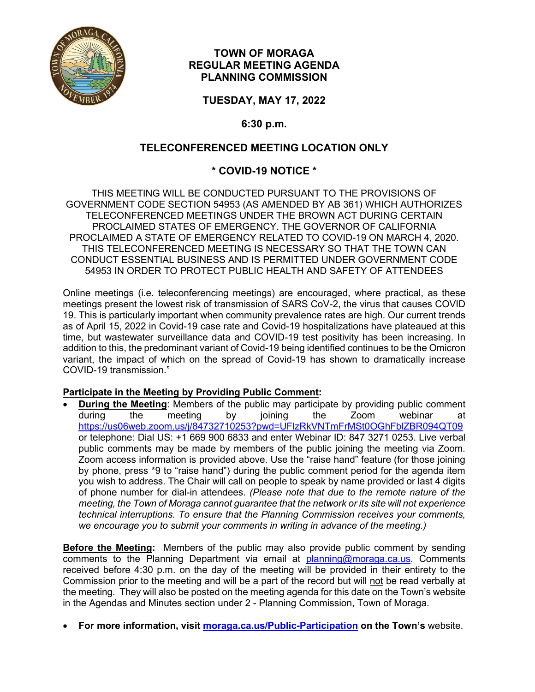

### **TOWN OF MORAGA REGULAR MEETING AGENDA PLANNING COMMISSION**

**TUESDAY, MAY 17, 2022**

**6:30 p.m.**

## **TELECONFERENCED MEETING LOCATION ONLY**

# **\* COVID-19 NOTICE \***

THIS MEETING WILL BE CONDUCTED PURSUANT TO THE PROVISIONS OF GOVERNMENT CODE SECTION 54953 (AS AMENDED BY AB 361) WHICH AUTHORIZES TELECONFERENCED MEETINGS UNDER THE BROWN ACT DURING CERTAIN PROCLAIMED STATES OF EMERGENCY. THE GOVERNOR OF CALIFORNIA PROCLAIMED A STATE OF EMERGENCY RELATED TO COVID-19 ON MARCH 4, 2020. THIS TELECONFERENCED MEETING IS NECESSARY SO THAT THE TOWN CAN CONDUCT ESSENTIAL BUSINESS AND IS PERMITTED UNDER GOVERNMENT CODE 54953 IN ORDER TO PROTECT PUBLIC HEALTH AND SAFETY OF ATTENDEES

Online meetings (i.e. teleconferencing meetings) are encouraged, where practical, as these meetings present the lowest risk of transmission of SARS CoV-2, the virus that causes COVID 19. This is particularly important when community prevalence rates are high. Our current trends as of April 15, 2022 in Covid-19 case rate and Covid-19 hospitalizations have plateaued at this time, but wastewater surveillance data and COVID-19 test positivity has been increasing. In addition to this, the predominant variant of Covid-19 being identified continues to be the Omicron variant, the impact of which on the spread of Covid-19 has shown to dramatically increase COVID-19 transmission."

### **Participate in the Meeting by Providing Public Comment:**

• **During the Meeting**: Members of the public may participate by providing public comment during the meeting by joining the Zoom webinar at <https://us06web.zoom.us/j/84732710253?pwd=UFlzRkVNTmFrMSt0OGhFblZBR094QT09> or telephone: Dial US: +1 669 900 6833 and enter Webinar ID: 847 3271 0253. Live verbal public comments may be made by members of the public joining the meeting via Zoom. Zoom access information is provided above. Use the "raise hand" feature (for those joining by phone, press \*9 to "raise hand") during the public comment period for the agenda item you wish to address. The Chair will call on people to speak by name provided or last 4 digits of phone number for dial-in attendees. *(Please note that due to the remote nature of the meeting, the Town of Moraga cannot guarantee that the network or its site will not experience technical interruptions. To ensure that the Planning Commission receives your comments, we encourage you to submit your comments in writing in advance of the meeting.)*

**Before the Meeting:** Members of the public may also provide public comment by sending comments to the Planning Department via email at [planning@moraga.ca.us.](mailto:planning@moraga.ca.us) Comments received before 4:30 p.m. on the day of the meeting will be provided in their entirety to the Commission prior to the meeting and will be a part of the record but will not be read verbally at the meeting. They will also be posted on the meeting agenda for this date on the Town's website in the Agendas and Minutes section under 2 - Planning Commission, Town of Moraga.

• **For more information, visit [moraga.ca.us/Public-Participation](https://www.moraga.ca.us/273/Public-Participation) on the Town's** website.